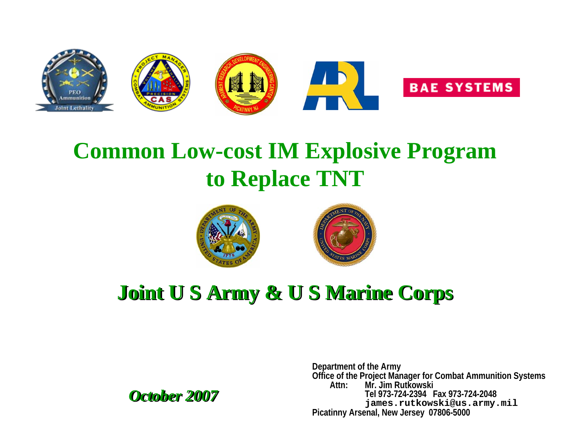

# **Common Low-cost IM Explosive Program to Replace TNT**





# **Joint U S Army & U S Marine Corps Joint U S Army & U S Marine Corps**

*October 2007 October 2007*

**Department of the Army Office of the Project Manager for Combat Ammunition Systems Attn: Mr. Jim RutkowskiTel 973-724-2394 Fax 973-724-2048james.rutkowski@us.army.mil Picatinny Arsenal, New Jersey 07806-5000**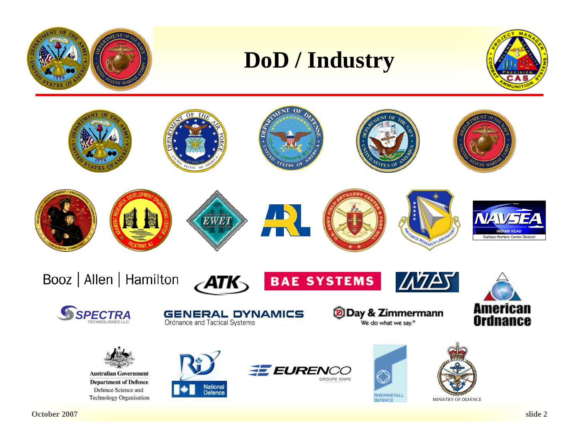

# **DoD / Industry**



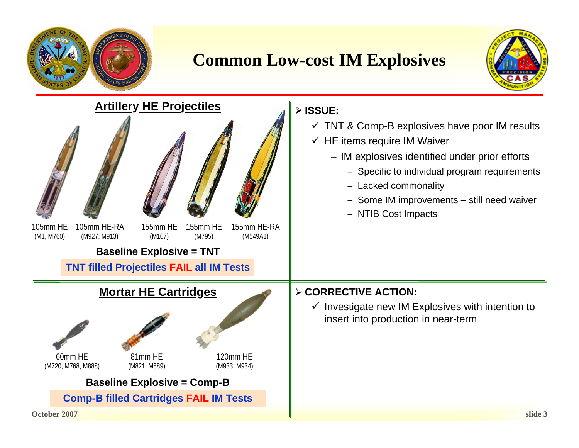

**October 2007**

### **Common Low-cost IM Explosives**



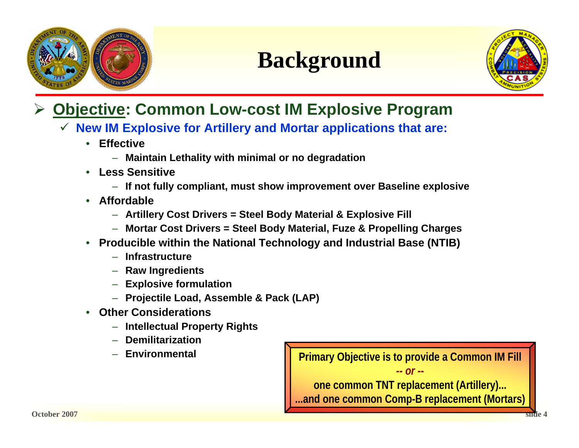

# **Background**



#### ¾**Objective: Common Low-cost IM Explosive Program**

- 9 **New IM Explosive for Artillery and Mortar applications that are:**
	- **Effective**
		- **Maintain Lethality with minimal or no degradation**
	- **Less Sensitive**
		- **If not fully compliant, must show improvement over Baseline explosive**
	- **Affordable**
		- **Artillery Cost Drivers = Steel Body Material & Explosive Fill**
		- **Mortar Cost Drivers = Steel Body Material, Fuze & Propelling Charges**
	- **Producible within the National Technology and Industrial Base (NTIB)**
		- **Infrastructure**
		- **Raw Ingredients**
		- **Explosive formulation**
		- **Projectile Load, Assemble & Pack (LAP)**
	- **Other Considerations**
		- **Intellectual Property Rights**
		- **Demilitarization**
		- **Environmental**

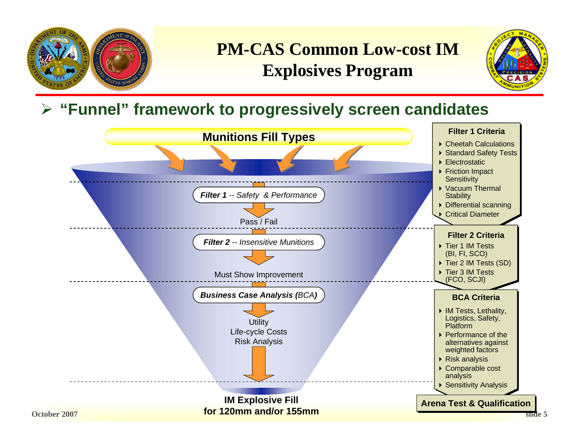

### **PM-CAS Common Low-cost IM Explosives Program**



### ¾ **"Funnel" framework to progressively screen candidates**

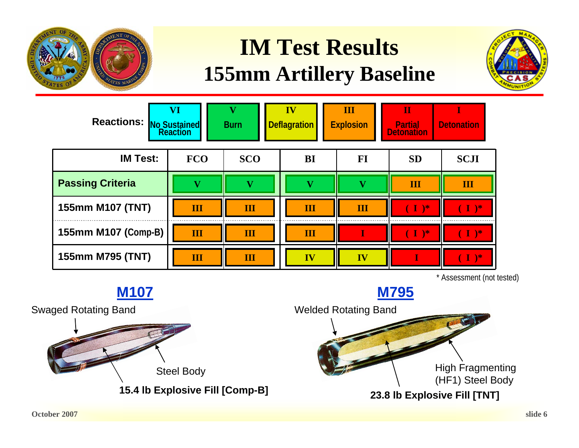

# **IM Test Results 155mm Artillery Baseline**



| Reactions: No Sustained<br>Reaction | $\overline{\mathbf{VI}}$ | <b>Burn</b> | IV<br><b>Deflagration</b> | Ш<br><b>Explosion</b> | П<br><b>Partial</b><br><b>Detonation</b> | <b>Detonation</b> |
|-------------------------------------|--------------------------|-------------|---------------------------|-----------------------|------------------------------------------|-------------------|
| <b>IM Test:</b>                     | <b>FCO</b>               | <b>SCO</b>  | BI                        | FI                    | <b>SD</b>                                | <b>SCJI</b>       |
| <b>Passing Criteria</b>             | v                        | ٨7          | v                         | V                     | Ш                                        | Ш                 |
| 155mm M107 (TNT)                    | $\overline{\mathbf{H}}$  | Ш           | Ш                         | Ш                     | $\mathbf{I}$                             | $\mathbf{I}$      |
| 155mm M107 (Comp-B)                 | $\overline{\mathbf{H}}$  | Ш           | III                       |                       | $\blacksquare$                           | ነ*                |
| 155mm M795 (TNT)                    | $\overline{\mathbf{H}}$  | Ш           | $\overline{\mathbf{IV}}$  | IV                    |                                          | $\rightarrow$     |

\* Assessment (not tested)

Welded Rotating Band High Fragmenting (HF1) Steel Body **23.8 lb Explosive Fill [TNT] M795** Swaged Rotating Band Steel Body **15.4 lb Explosive Fill [Comp-B] M107**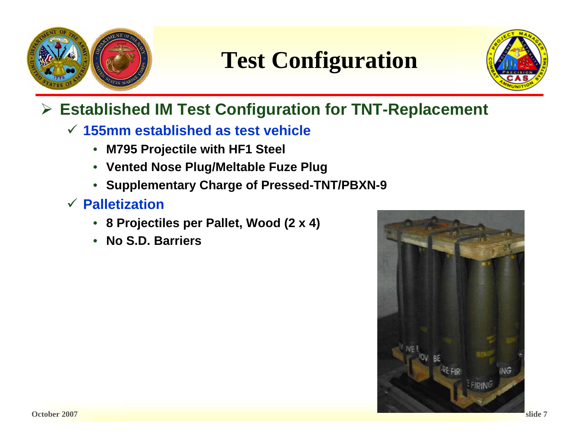

**Test Configuration**



### ¾ **Established IM Test Configuration for TNT-Replacement**

#### 9 **155mm established as test vehicle**

- **M795 Projectile with HF1 Steel**
- **Vented Nose Plug/Meltable Fuze Plug**
- **Supplementary Charge of Pressed-TNT/PBXN-9**
- 9 **Palletization**
	- **8 Projectiles per Pallet, Wood (2 x 4)**
	- **No S.D. Barriers**

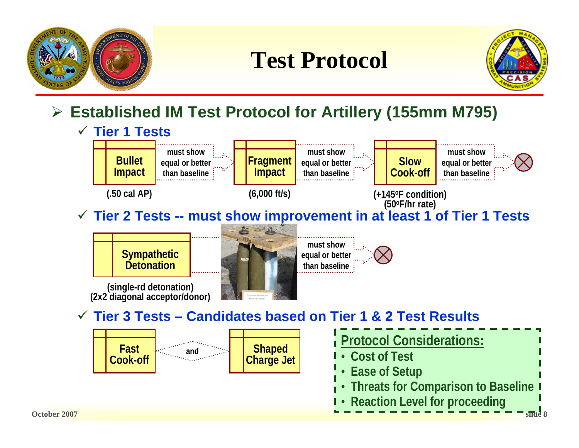

# **Test Protocol**



### ¾ **Established IM Test Protocol for Artillery (155mm M795)**

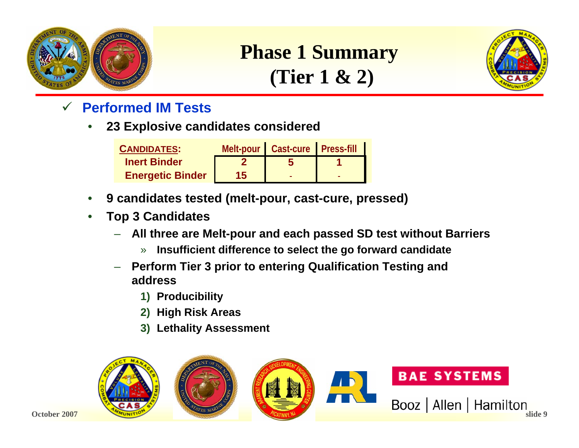

## **Phase 1 Summary (Tier 1 & 2)**



- 9 **Performed IM Tests**
	- **23 Explosive candidates considered**

| <b>CANDIDATES:</b>      |    | Melt-pour   Cast-cure   Press-fill |  |
|-------------------------|----|------------------------------------|--|
| <b>Inert Binder</b>     |    |                                    |  |
| <b>Energetic Binder</b> | 15 |                                    |  |

- **9 candidates tested (melt-pour, cast-cure, pressed)**
- **Top 3 Candidates**
	- **All three are Melt-pour and each passed SD test without Barriers**
		- » **Insufficient difference to select the go forward candidate**
	- **Perform Tier 3 prior to entering Qualification Testing and address**
		- **1) Producibility**
		- **2) High Risk Areas**
		- **3) Lethality Assessment**

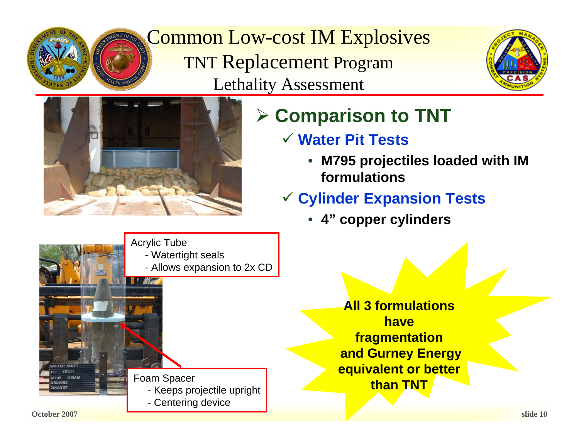

Common Low-cost IM Explosives TNT Replacement Program Lethality Assessment





# ¾ **Comparison to TNT**

- 9 **Water Pit Tests**
	- **M795 projectiles loaded with IM formulations**
- 9 **Cylinder Expansion Tests**
	- **4" copper cylinders**

**All 3 formulations have fragmentation and Gurney Energy equivalent or better than TNT**

Acrylic Tube - Watertight seals - Allows expansion to 2x CD **IT THE REAL** TER SHOT Foam Spacer - Keeps projectile upright - Centering device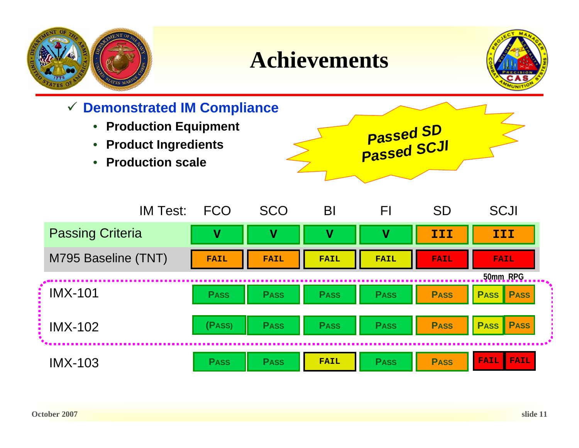

# **Achievements**



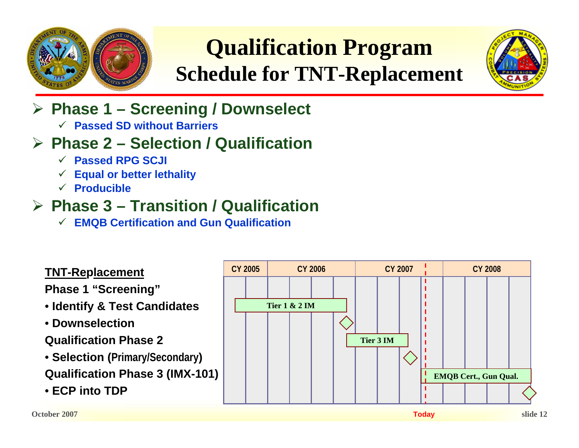

# **Qualification Program Schedule for TNT-Replacement**



- ¾ **Phase 1 – Screening / Downselect**
	- 9 **Passed SD without Barriers**

### ¾ **Phase 2 – Selection / Qualification**

- 9 **Passed RPG SCJI**
- $\checkmark$ **Equal or better lethality**
- 9 **Producible**

### ¾ **Phase 3 – Transition / Qualification**

9 **EMQB Certification and Gun Qualification**